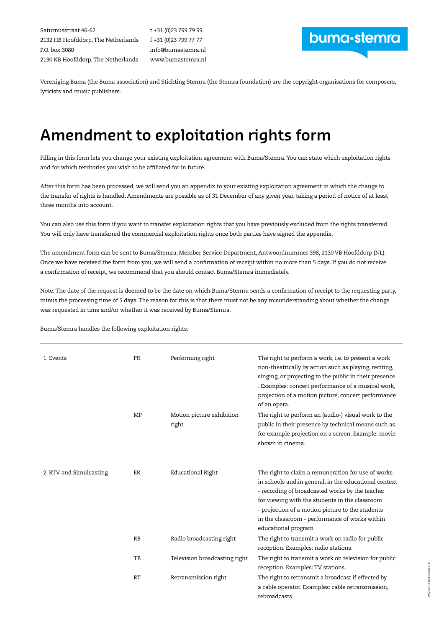Saturnusstraat 46-62 2132 HB Hoofddorp, The Netherlands P.O. box 3080 2130 KB Hoofddorp, The Netherlands

t +31 (0)23 799 79 99 f +31 (0)23 799 77 77 info@bumastemra.nl www.bumastemra.nl



Vereniging Buma (the Buma association) and Stichting Stemra (the Stemra foundation) are the copyright organisations for composers, lyricists and music publishers.

# **Amendment to exploitation rights form**

Filling in this form lets you change your existing exploitation agreement with Buma/Stemra. You can state which exploitation rights and for which territories you wish to be affiliated for in future.

After this form has been processed, we will send you an appendix to your existing exploitation agreement in which the change to the transfer of rights is handled. Amendments are possible as of 31 December of any given year, taking a period of notice of at least three months into account.

You can also use this form if you want to transfer exploitation rights that you have previously excluded from the rights transferred. You will only have transferred the commercial exploitation rights once both parties have signed the appendix.

The amendment form can be sent to Buma/Stemra, Member Service Department, Antwoordnummer 398, 2130 VB Hoofddorp (NL). Once we have received the form from you, we will send a confirmation of receipt within no more than 5 days. If you do not receive a confirmation of receipt, we recommend that you should contact Buma/Stemra immediately.

Note: The date of the request is deemed to be the date on which Buma/Stemra sends a confirmation of receipt to the requesting party, minus the processing time of 5 days. The reason for this is that there must not be any misunderstanding about whether the change was requested in time and/or whether it was received by Buma/Stemra.

Buma/Stemra handles the following exploitation rights:

| 1. Events               | PR<br>MP        | Performing right<br>Motion picture exhibition<br>right | The right to perform a work, i.e. to present a work<br>non-theatrically by action such as playing, reciting,<br>singing, or projecting to the public in their presence<br>. Examples: concert performance of a musical work,<br>projection of a motion picture, concert performance<br>of an opera.<br>The right to perform an (audio-) visual work to the<br>public in their presence by technical means such as<br>for example projection on a screen. Example: movie<br>shown in cinema. |
|-------------------------|-----------------|--------------------------------------------------------|---------------------------------------------------------------------------------------------------------------------------------------------------------------------------------------------------------------------------------------------------------------------------------------------------------------------------------------------------------------------------------------------------------------------------------------------------------------------------------------------|
| 2. RTV and Simulcasting | ER<br><b>RB</b> | <b>Educational Right</b><br>Radio broadcasting right   | The right to claim a remuneration for use of works<br>in schools and, in general, in the educational context<br>- recording of broadcasted works by the teacher<br>for viewing with the students in the classroom<br>- projection of a motion picture to the students<br>in the classroom - performance of works within<br>educational program<br>The right to transmit a work on radio for public<br>reception. Examples: radio stations.                                                  |
|                         | TB              | Television broadcasting right                          | The right to transmit a work on television for public<br>reception. Examples: TV stations.                                                                                                                                                                                                                                                                                                                                                                                                  |
|                         | RT              | Retransmission right                                   | The right to retransmit a broadcast if effected by<br>a cable operator. Examples: cable retransmission,<br>rebroadcasts.                                                                                                                                                                                                                                                                                                                                                                    |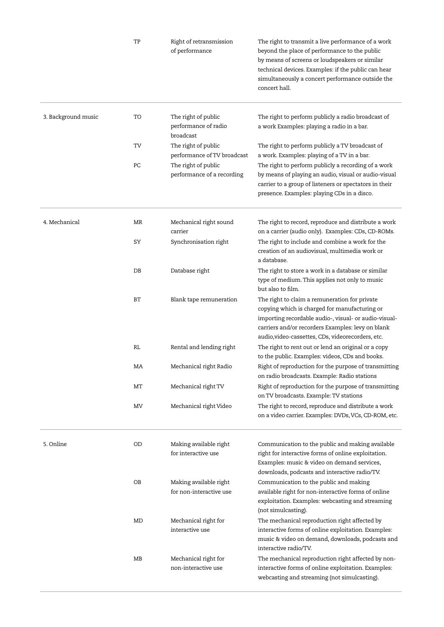|                     | TP | Right of retransmission<br>of performance                | The right to transmit a live performance of a work<br>beyond the place of performance to the public<br>by means of screens or loudspeakers or similar<br>technical devices. Examples: if the public can hear<br>simultaneously a concert performance outside the<br>concert hall. |
|---------------------|----|----------------------------------------------------------|-----------------------------------------------------------------------------------------------------------------------------------------------------------------------------------------------------------------------------------------------------------------------------------|
| 3. Background music | TO | The right of public<br>performance of radio<br>broadcast | The right to perform publicly a radio broadcast of<br>a work Examples: playing a radio in a bar.                                                                                                                                                                                  |
|                     | TV | The right of public<br>performance of TV broadcast       | The right to perform publicly a TV broadcast of<br>a work. Examples: playing of a TV in a bar.                                                                                                                                                                                    |
|                     | PC | The right of public<br>performance of a recording        | The right to perform publicly a recording of a work<br>by means of playing an audio, visual or audio-visual<br>carrier to a group of listeners or spectators in their<br>presence. Examples: playing CDs in a disco.                                                              |
| 4. Mechanical       | MR | Mechanical right sound<br>carrier                        | The right to record, reproduce and distribute a work<br>on a carrier (audio only). Examples: CDs, CD-ROMs.                                                                                                                                                                        |
|                     | SY | Synchronisation right                                    | The right to include and combine a work for the<br>creation of an audiovisual, multimedia work or<br>a database.                                                                                                                                                                  |
|                     | DB | Database right                                           | The right to store a work in a database or similar<br>type of medium. This applies not only to music<br>but also to film.                                                                                                                                                         |
|                     | ВT | Blank tape remuneration                                  | The right to claim a remuneration for private<br>copying which is charged for manufacturing or<br>importing recordable audio-, visual- or audio-visual-<br>carriers and/or recorders Examples: levy on blank<br>audio, video-cassettes, CDs, videorecorders, etc.                 |
|                     | RL | Rental and lending right                                 | The right to rent out or lend an original or a copy<br>to the public. Examples: videos, CDs and books.                                                                                                                                                                            |
|                     | MA | Mechanical right Radio                                   | Right of reproduction for the purpose of transmitting<br>on radio broadcasts. Example: Radio stations                                                                                                                                                                             |
|                     | МT | Mechanical right TV                                      | Right of reproduction for the purpose of transmitting<br>on TV broadcasts. Example: TV stations                                                                                                                                                                                   |
|                     | MV | Mechanical right Video                                   | The right to record, reproduce and distribute a work<br>on a video carrier. Examples: DVDs, VCs, CD-ROM, etc.                                                                                                                                                                     |
| 5. Online           | OD | Making available right<br>for interactive use            | Communication to the public and making available<br>right for interactive forms of online exploitation.<br>Examples: music & video on demand services,<br>downloads, podcasts and interactive radio/TV.                                                                           |
|                     | ОB | Making available right<br>for non-interactive use        | Communication to the public and making<br>available right for non-interactive forms of online<br>exploitation. Examples: webcasting and streaming<br>(not simulcasting).                                                                                                          |
|                     | MD | Mechanical right for<br>interactive use                  | The mechanical reproduction right affected by<br>interactive forms of online exploitation. Examples:<br>music & video on demand, downloads, podcasts and<br>interactive radio/TV.                                                                                                 |
|                     | MB | Mechanical right for<br>non-interactive use              | The mechanical reproduction right affected by non-<br>interactive forms of online exploitation. Examples:<br>webcasting and streaming (not simulcasting).                                                                                                                         |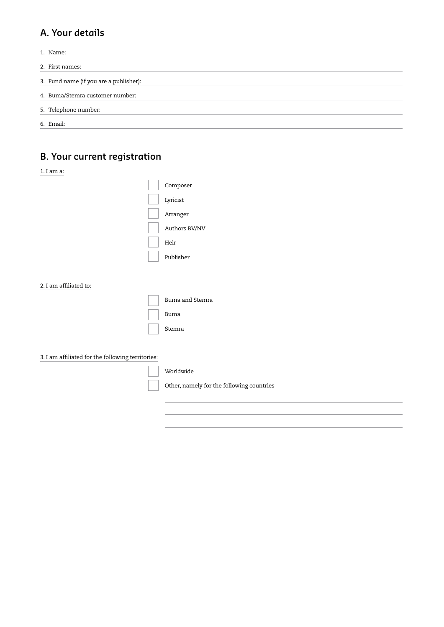### **A. Your details**

| 1. Name:                               |
|----------------------------------------|
| 2. First names:                        |
| 3. Fund name (if you are a publisher): |
| 4. Buma/Stemra customer number:        |
| 5. Telephone number:                   |
| 6. Email:                              |
|                                        |

## **B. Your current registration**

| a. |
|----|
|----|

|                                                   | Composer                                  |
|---------------------------------------------------|-------------------------------------------|
|                                                   | Lyricist                                  |
|                                                   | Arranger                                  |
|                                                   | Authors BV/NV                             |
|                                                   | Heir                                      |
|                                                   | Publisher                                 |
|                                                   |                                           |
| 2. I am affiliated to:                            |                                           |
|                                                   | Buma and Stemra                           |
|                                                   | Buma                                      |
|                                                   | Stemra                                    |
|                                                   |                                           |
| 3. I am affiliated for the following territories: |                                           |
|                                                   | Worldwide                                 |
|                                                   | Other, namely for the following countries |
|                                                   |                                           |
|                                                   |                                           |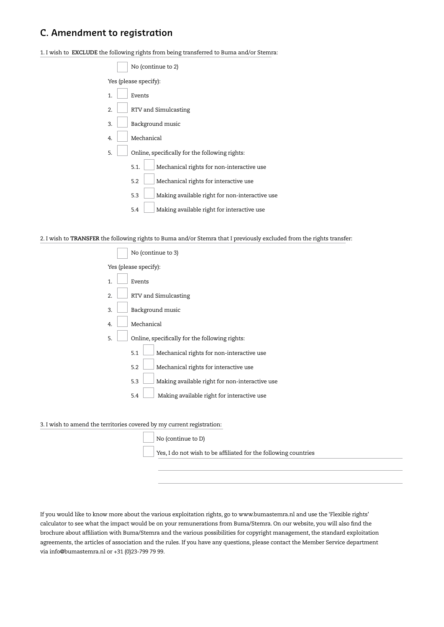### **C. Amendment to registration**

1. I wish to **EXCLUDE** the following rights from being transferred to Buma and/or Stemra:

| No (continue to 2)    |                                                       |  |  |
|-----------------------|-------------------------------------------------------|--|--|
| Yes (please specify): |                                                       |  |  |
| 1.                    | Events                                                |  |  |
| 2.                    | RTV and Simulcasting                                  |  |  |
| 3.                    | Background music                                      |  |  |
| 4.                    | Mechanical                                            |  |  |
| 5.                    | Online, specifically for the following rights:        |  |  |
|                       | Mechanical rights for non-interactive use<br>5.1.     |  |  |
|                       | 5.2<br>Mechanical rights for interactive use          |  |  |
|                       | 5.3<br>Making available right for non-interactive use |  |  |
|                       | Making available right for interactive use<br>5.4     |  |  |

#### 2. I wish to **TRANSFER** the following rights to Buma and/or Stemra that I previously excluded from the rights transfer:

| No (continue to 3)                                    |  |  |  |
|-------------------------------------------------------|--|--|--|
| Yes (please specify):                                 |  |  |  |
| $\mathbf{1}$<br>Events                                |  |  |  |
| 2.<br>RTV and Simulcasting                            |  |  |  |
| 3.<br>Background music                                |  |  |  |
| Mechanical<br>4.                                      |  |  |  |
| Online, specifically for the following rights:<br>5.  |  |  |  |
| Mechanical rights for non-interactive use<br>5.1      |  |  |  |
| 5.2<br>Mechanical rights for interactive use          |  |  |  |
| 5.3<br>Making available right for non-interactive use |  |  |  |
| Making available right for interactive use<br>5.4     |  |  |  |
|                                                       |  |  |  |
|                                                       |  |  |  |

#### 3. I wish to amend the territories covered by my current registration:

| $\vert$ No (continue to D)                                      |
|-----------------------------------------------------------------|
| Yes, I do not wish to be affiliated for the following countries |
|                                                                 |
|                                                                 |

If you would like to know more about the various exploitation rights, go to www.bumastemra.nl and use the 'Flexible rights' calculator to see what the impact would be on your remunerations from Buma/Stemra. On our website, you will also find the brochure about affiliation with Buma/Stemra and the various possibilities for copyright management, the standard exploitation agreements, the articles of association and the rules. If you have any questions, please contact the Member Service department via info@bumastemra.nl or +31 (0)23-799 79 99.